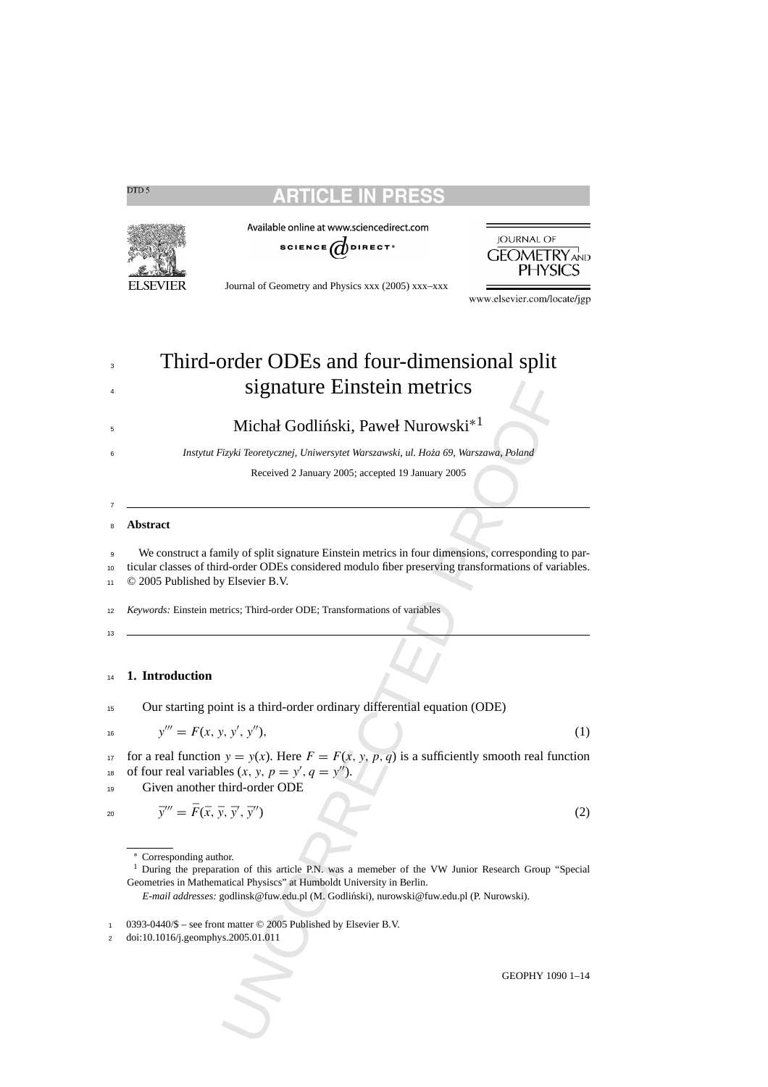# CLE IN

Available online at www.sciencedirect.com



Journal of Geometry and Physics xxx (2005) xxx–xxx

<sup>3</sup> Third-order ODEs and four-dimensional split signature Einstein metrics

### $\frac{1}{2}$  Michał Godliński, Paweł Nurowski<sup>\*1</sup>

<sup>6</sup> *Instytut Fizyki Teoretycznej, Uniwersytet Warszawski, ul. Ho˙za 69, Warszawa, Poland*

Received 2 January 2005; accepted 19 January 2005

### <sup>8</sup> **Abstract**

**Signature Einstein metrics**<br>
Michał Godliński, Paweł Nurowski<sup>+1</sup><br>
<sup>3</sup>737sti Teoretycznej, Universytet Warszawski, ul. Hoża 69, Warszawa, Poland<br>
Received 2 January 2005; accepted 19 January 2005<br>
mily of split signature We construct a family of split signature Einstein metrics in four dimensions, corresponding to par- ticular classes of third-order ODEs considered modulo fiber preserving transformations of variables. © 2005 Published by Elsevier B.V.

<sup>12</sup> *Keywords:* Einstein metrics; Third-order ODE; Transformations of variables

13

7

### <sup>14</sup> **1. Introduction**

<sup>15</sup> Our starting point is a third-order ordinary differential equation (ODE)

17 for a real function  $y = y(x)$ . Here  $F = F(x, y, p, q)$  is a sufficiently smooth real function <sup>18</sup> of four real variables  $(x, y, p = y', q = y'')$ .

<sup>19</sup> Given another third-order ODE

<sup>1</sup> During the preparation of this article P.N. was a memeber of the VW Junior Research Group "Special Geometries in Mathematical Physiscs" at Humboldt University in Berlin.

*E-mail addresses:* godlinsk@fuw.edu.pl (M. Godlinski), nurowski@fuw.edu.pl (P. Nurowski). ´



<span id="page-0-0"></span>DTD<sub>5</sub>

www.elsevier.com/locate/jgp

 $y''' = F(x, y, y', y''),$  (1)

 $\bar{y}''' = \bar{F}(\bar{x}, \bar{y}, \bar{y}', \bar{y}'')$  (2)

<sup>∗</sup> Corresponding author.

<sup>0393-0440/\$ –</sup> see front matter © 2005 Published by Elsevier B.V.

<sup>2</sup> doi:10.1016/j.geomphys.2005.01.011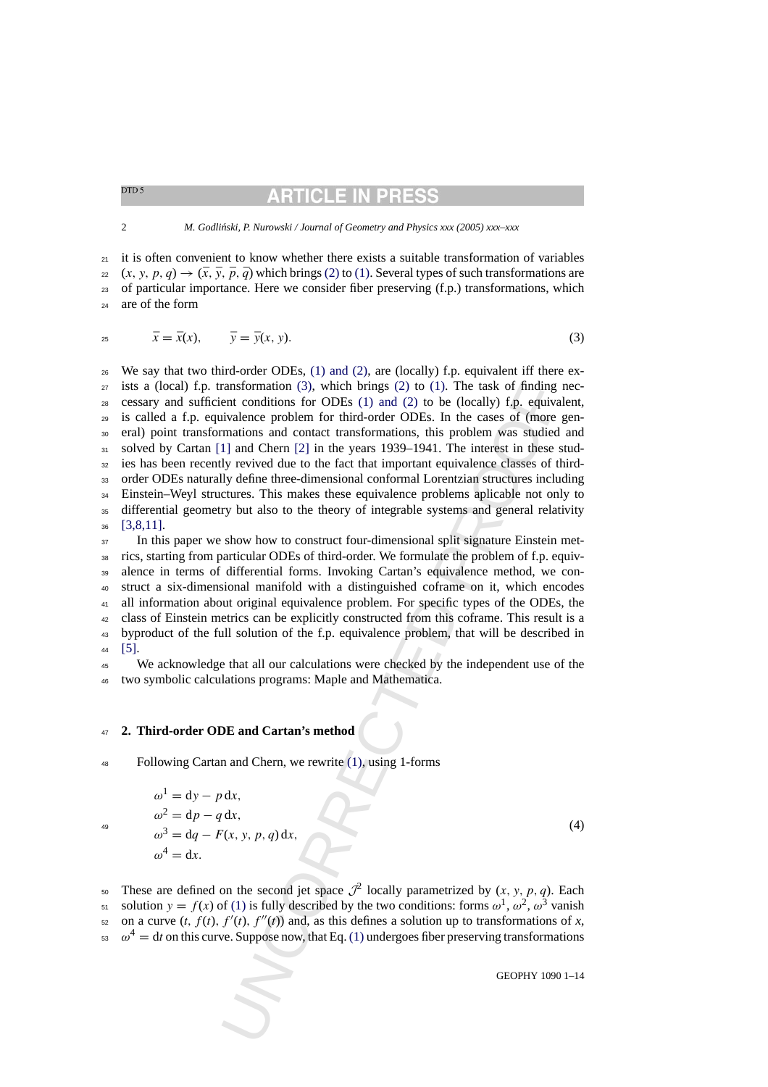# **ARTICLE IN PRE**

<span id="page-1-0"></span> $_{21}$  it is often convenient to know whether there exists a suitable transformation of variables  $22 (x, y, p, q) \rightarrow (\bar{x}, \bar{y}, \bar{p}, \bar{q})$  which brings [\(2\)](#page-0-0) to [\(1\). S](#page-0-0)everal types of such transformations are of particular importance. Here we consider fiber preserving (f.p.) transformations, which are of the form

$$
\bar{x} = \bar{x}(x), \qquad \bar{y} = \bar{y}(x, y). \tag{3}
$$

ransformation (3), which brings (2) to (1). The task of finding<br>entrementomions for ODEs (1) and (2) to (0) be (10cel/9) fig. equivalence<br>problem for third-order ODEs. In the cases of (more<br>immisions and contact transform We say that two third-order ODEs, [\(1\) and \(2\),](#page-0-0) are (locally) f.p. equivalent iff there ex- ists a (local) f.p. transformation (3), which brings (2) to (1). The task of finding nec- cessary and sufficient conditions for ODEs (1) and (2) to be (locally) f.p. equivalent, is called a f.p. equivalence problem for third-order ODEs. In the cases of (more gen- eral) point transformations and contact transformations, this problem was studied and 31 solved by Cartan [\[1](#page-13-0)] and Chern [2] in the years 1939–1941. The interest in these stud- ies has been recently revived due to the fact that important equivalence classes of third- order ODEs naturally define three-dimensional conformal Lorentzian structures including Einstein–Weyl structures. This makes these equivalence problems aplicable not only to differential geometry but also to the theory of integrable systems and general relativity [\[3,8,11\].](#page-13-0)

<sup>37</sup> In this paper we show how to construct four-dimensional split signature Einstein met- rics, starting from particular ODEs of third-order. We formulate the problem of f.p. equiv- alence in terms of differential forms. Invoking Cartan's equivalence method, we con- struct a six-dimensional manifold with a distinguished coframe on it, which encodes all information about original equivalence problem. For specific types of the ODEs, the class of Einstein metrics can be explicitly constructed from this coframe. This result is a byproduct of the full solution of the f.p. equivalence problem, that will be described in [\[5\].](#page-13-0)

 We acknowledge that all our calculations were checked by the independent use of the two symbolic calculations programs: Maple and Mathematica.

### **2. Third-order ODE and Cartan's method**

Following Cartan and Chern, we rewrite (1), using 1-forms

$$
^{49}
$$

$$
\omega^{1} = dy - p dx,
$$
  
\n
$$
\omega^{2} = dp - q dx,
$$
  
\n
$$
\omega^{3} = dq - F(x, y, p, q) dx,
$$
  
\n
$$
\omega^{4} = dx.
$$
\n(4)

50 These are defined on the second jet space  $\mathcal{J}^2$  locally parametrized by  $(x, y, p, q)$ . Each <sup>51</sup> solution  $y = f(x)$  of (1) is fully described by the two conditions: forms  $ω<sup>1</sup>$ ,  $ω<sup>2</sup>$ ,  $ω<sup>3</sup>$  vanish  $\epsilon_2$  on a curve  $(t, f(t), f'(t), f''(t))$  and, as this defines a solution up to transformations of *x*,  $\omega^4 = dt$  on this curve. Suppose now, that Eq. (1) undergoes fiber preserving transformations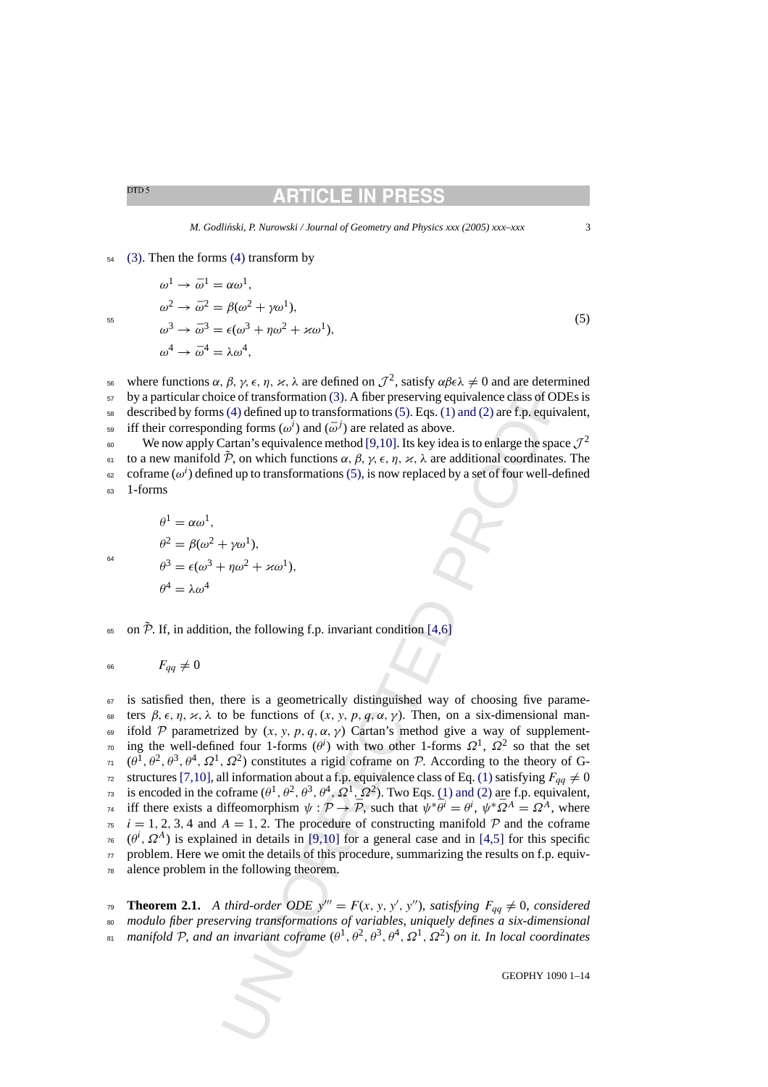### RTICLE IN PR

#### <span id="page-2-0"></span> $54$  [\(3\).](#page-1-0) Then the forms [\(4\)](#page-1-0) transform by

 $\omega^2 \rightarrow \bar{\omega}^2 = \beta(\omega^2 + \gamma \omega^1),$ 

 $\omega^1 \rightarrow \bar{\omega}^1 = \alpha \omega^1$ ,

 $\omega^4 \rightarrow \bar{\omega}^4 = \lambda \omega^4$ .

$$
\omega^2 \to \bar{\omega}^2 = \beta(\omega^2 + \gamma \omega^1),
$$
  
\n
$$
\omega^3 \to \bar{\omega}^3 = \epsilon(\omega^3 + \eta \omega^2 + \varkappa \omega^1),
$$
\n(5)

where functions α, β, γ,  $\epsilon$ , η, κ, λ are defined on  $\mathcal{J}^2$ , satisfy αβελ  $\neq 0$  and are determined <sup>57</sup> by a particular choice of transformation (3). A fiber preserving equivalence class of ODEs is  $58$  described by forms (4) defined up to transformations (5). Eqs. (1) and (2) are f.p. equivalent,

<sup>59</sup> iff their corresponding forms  $(\omega^i)$  and  $(\bar{\omega}^j)$  are related as above.

 $\omega_{\text{so}}$  We now apply Cartan's equivalence method [9,10]. Its key idea is to enlarge the space  $\mathcal{J}^2$ 

**to a new manifold**  $\tilde{\mathcal{P}}$ **, on which functions**  $\alpha$ **,**  $\beta$ **,**  $\gamma$ **,**  $\epsilon$ **,**  $\eta$ **,**  $\varkappa$ **, λ are additional coordinates. The** 

 $\epsilon_2$  coframe ( $\omega^i$ ) defined up to transformations (5), is now replaced by a set of four well-defined <sup>63</sup> 1-forms

$$
^{64}
$$

$$
\theta^2 = \beta(\omega^2 + \gamma \omega^1),
$$
  
\n
$$
\theta^3 = \epsilon(\omega^3 + \eta \omega^2 + \varkappa \omega^1),
$$
  
\n
$$
\theta^4 = \lambda \omega^4
$$

 $\theta^1 = \alpha \omega^1$ .

 $\epsilon$ <sub>65</sub> on  $\tilde{\mathcal{P}}$ . If, in addition, the following f.p. invariant condition [4,6]

$$
F_{qq} \neq 0
$$

*i*, *P*, *y*, *e*, *p*, *x*, *A* are defined on *J*<sup>-</sup>, satisty  $q\neq k \neq 0$  and are deferred to  $J^*$ , satisty  $q\neq k \neq 0$  and are deferred to  $J^*$ , and  $(\delta)$  are related as above.<br>Cate of transformation (3). A fiber  $67$  is satisfied then, there is a geometrically distinguished way of choosing five parame-68 ters  $\beta, \epsilon, \eta, \varkappa, \lambda$  to be functions of  $(x, y, p, q, \alpha, \gamma)$ . Then, on a six-dimensional man-69 ifold P parametrized by  $(x, y, p, q, \alpha, \gamma)$  Cartan's method give a way of supplement-<sup>70</sup> ing the well-defined four 1-forms ( $\theta^i$ ) with two other 1-forms  $\Omega^1$ ,  $\Omega^2$  so that the set  $\theta^1$ ,  $(\theta^1, \theta^2, \theta^3, \theta^4, \Omega^1, \Omega^2)$  constitutes a rigid coframe on P. According to the theory of G-<sup>72</sup> structures [\[7,10\], a](#page-13-0)ll information about a f.p. equivalence class of Eq. (1) satisfying  $F_{qq} \neq 0$ is encoded in the coframe  $(\theta^1, \theta^2, \theta^3, \theta^4, \Omega^1, \Omega^2)$ . Two Eqs. (1) and (2) are f.p. equivalent, <sup>74</sup> iff there exists a diffeomorphism  $\psi : \mathcal{P} \to \bar{\mathcal{P}}$ , such that  $\psi^* \bar{\theta}^i = \theta^i$ ,  $\psi^* \bar{\Omega}^A = \Omega^A$ , where  $75 \text{ } i = 1, 2, 3, 4 \text{ and } A = 1, 2.$  The procedure of constructing manifold P and the coframe  $\pi$  ( $\theta^i$ ,  $\Omega^A$ ) is explained in details in [9,10] for a general case and in [4,5] for this specific  $\tau$  problem. Here we omit the details of this procedure, summarizing the results on f.p. equiv-<sup>78</sup> alence problem in the following theorem.

**Theorem 2.1.** A third-order ODE  $y''' = F(x, y, y', y'')$ , satisfying  $F_{qq} \neq 0$ , considered <sup>80</sup> *modulo fiber preserving transformations of variables*, *uniquely defines a six-dimensional manifold* P, and an invariant coframe  $(\theta^1, \theta^2, \theta^3, \theta^4, \Omega^1, \Omega^2)$  on it. In local coordinates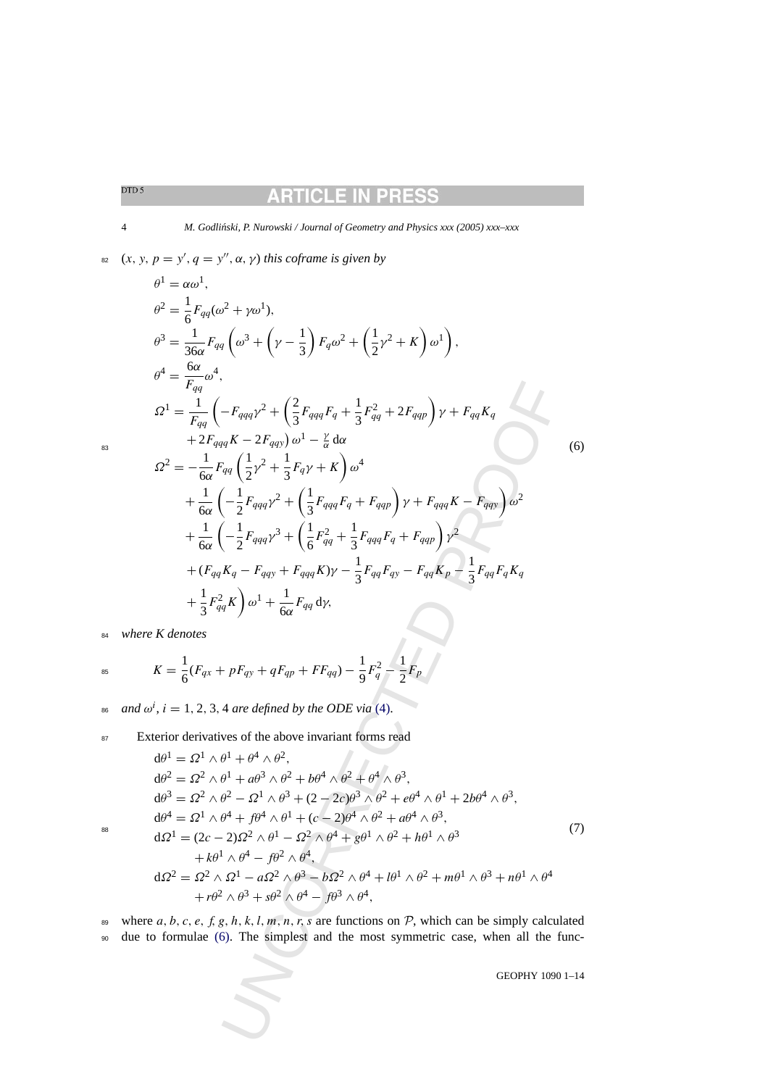### **ARTICLE IN PRES**

<span id="page-3-0"></span>4 *M. Godli ´nski, P. Nurowski / Journal of Geometry and Physics xxx (2005) xxx–xxx*

 $x_2$   $(x, y, p = y', q = y'', \alpha, \gamma)$  *this coframe is given by* 

UNCORRE[CT](#page-1-0)ED PROOF <sup>θ</sup><sup>1</sup> <sup>=</sup> αω1, <sup>θ</sup><sup>2</sup> <sup>=</sup> <sup>1</sup> 6 Fqq(ω<sup>2</sup> <sup>+</sup> γω1), <sup>θ</sup><sup>3</sup> <sup>=</sup> <sup>1</sup> 36α Fqq <sup>ω</sup><sup>3</sup> <sup>+</sup> <sup>γ</sup> <sup>−</sup> <sup>1</sup> 3 -Fqω<sup>2</sup> <sup>+</sup> 1 2 <sup>γ</sup><sup>2</sup> <sup>+</sup> <sup>K</sup> ω1 -, <sup>θ</sup><sup>4</sup> <sup>=</sup> <sup>6</sup><sup>α</sup> Fqq ω4, <sup>Ω</sup><sup>1</sup> <sup>=</sup> <sup>1</sup> Fqq <sup>−</sup>Fqqqγ<sup>2</sup> <sup>+</sup> 2 3 FqqqFq + 1 3 F2 qq <sup>+</sup> <sup>2</sup>Fqqpγ + FqqKq + 2FqqqK − 2Fqqy <sup>ω</sup><sup>1</sup> <sup>−</sup> <sup>γ</sup> <sup>α</sup> dα <sup>Ω</sup><sup>2</sup> = − <sup>1</sup> 6α Fqq <sup>1</sup> 2 <sup>γ</sup><sup>2</sup> <sup>+</sup> 1 3 Fqγ + K ω4 + 1 6α −1 2 Fqqqγ<sup>2</sup> <sup>+</sup> 1 3 FqqqFq <sup>+</sup> Fqqp<sup>γ</sup> <sup>+</sup> FqqqK <sup>−</sup> Fqqyω2 + 1 6α −1 2 Fqqqγ<sup>3</sup> <sup>+</sup> 1 6 F2 qq + 1 3 FqqqFq <sup>+</sup> Fqqpγ2 <sup>+</sup> (FqqKq <sup>−</sup> Fqqy <sup>+</sup> FqqqK)<sup>γ</sup> <sup>−</sup> <sup>1</sup> 3 FqqFqy <sup>−</sup> FqqKp <sup>−</sup> <sup>1</sup> 3 FqqFqKq + 1 3 F2 qqK <sup>ω</sup><sup>1</sup> <sup>+</sup> 1 6α Fqq dγ, <sup>83</sup> (6)

<sup>84</sup> *where K denotes*

<sup>84</sup> where K denotes  
\n
$$
K = \frac{1}{6}(F_{qx} + pF_{qy} + qF_{qp} + FF_{qq}) - \frac{1}{9}F_q^2 - \frac{1}{2}F_p
$$

*as* and  $\omega^i$ ,  $i = 1, 2, 3, 4$  are defined by the ODE via (4).

87 Exterior derivatives of the above invariant forms read

$$
d\theta^{1} = \Omega^{1} \wedge \theta^{1} + \theta^{4} \wedge \theta^{2},
$$
  
\n
$$
d\theta^{2} = \Omega^{2} \wedge \theta^{1} + a\theta^{3} \wedge \theta^{2} + b\theta^{4} \wedge \theta^{2} + \theta^{4} \wedge \theta^{3},
$$
  
\n
$$
d\theta^{3} = \Omega^{2} \wedge \theta^{2} - \Omega^{1} \wedge \theta^{3} + (2 - 2c)\theta^{3} \wedge \theta^{2} + e\theta^{4} \wedge \theta^{1} + 2b\theta^{4} \wedge \theta^{3},
$$
  
\n
$$
d\theta^{4} = \Omega^{1} \wedge \theta^{4} + f\theta^{4} \wedge \theta^{1} + (c - 2)\theta^{4} \wedge \theta^{2} + a\theta^{4} \wedge \theta^{3},
$$
  
\n
$$
d\Omega^{1} = (2c - 2)\Omega^{2} \wedge \theta^{1} - \Omega^{2} \wedge \theta^{4} + g\theta^{1} \wedge \theta^{2} + h\theta^{1} \wedge \theta^{3}
$$
  
\n
$$
+ k\theta^{1} \wedge \theta^{4} - f\theta^{2} \wedge \theta^{4},
$$
  
\n
$$
d\Omega^{2} = \Omega^{2} \wedge \Omega^{1} - a\Omega^{2} \wedge \theta^{3} - b\Omega^{2} \wedge \theta^{4} + l\theta^{1} \wedge \theta^{2} + m\theta^{1} \wedge \theta^{3} + n\theta^{1} \wedge \theta^{4}
$$
  
\n
$$
+ r\theta^{2} \wedge \theta^{3} + s\theta^{2} \wedge \theta^{4} - f\theta^{3} \wedge \theta^{4},
$$
  
\n(7)

where 
$$
a, b, c, e, f, g, h, k, l, m, n, r, s
$$
 are functions on  $P$ , which can be simply calculated  
due to formulae (6). The simplest and the most symmetric case, when all the func-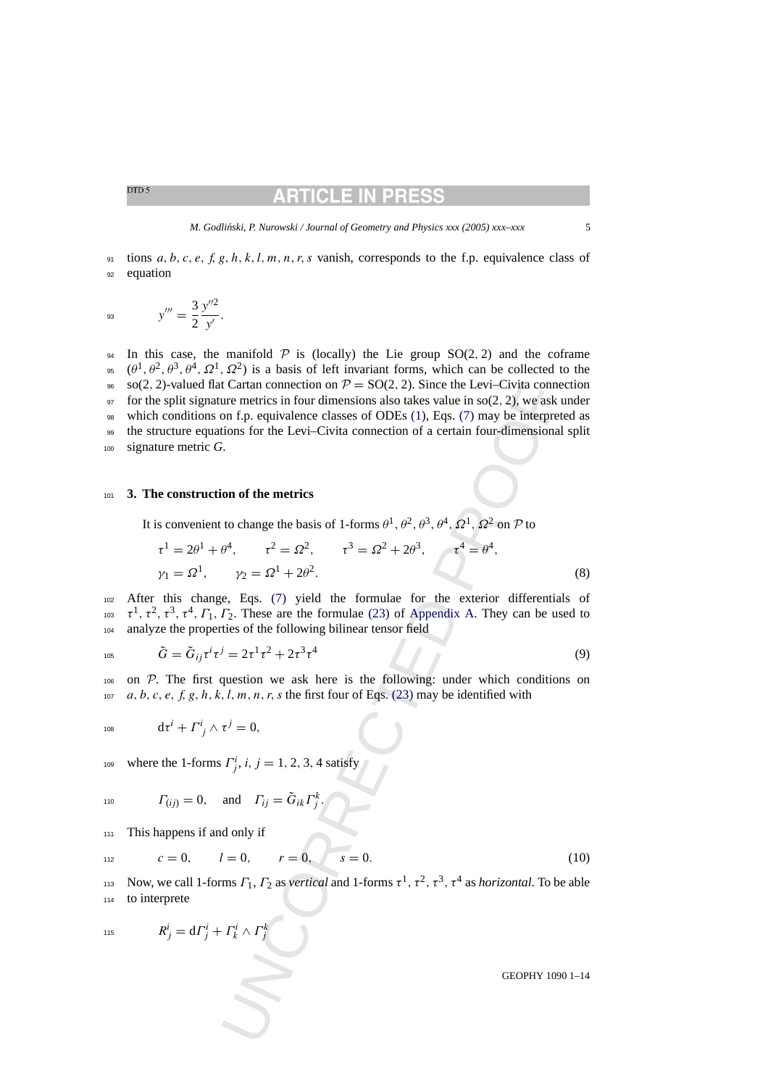### RTICLE IN PRI

<span id="page-4-0"></span> $91$  tions a, b, c, e, f, g, h, k, l, m, n, r, s vanish, corresponds to the f.p. equivalence class of 92 equation

$$
y''' = \frac{3}{2} \frac{y''^2}{y'}.
$$

I Cartan connection on  $\mathcal{P} = SO(2, 2)$ . Since the Levi-Civita connection<br>on f.p. equivalence classes of ODEs (1), Eqs. (7) may be interpretenties in four dimensions also takes value in so(2, 2), we ask<br>on f.p. equivalenc 94 In this case, the manifold  $P$  is (locally) the Lie group  $SO(2, 2)$  and the coframe <sup>95</sup> ( $\theta^1$ ,  $\theta^2$ ,  $\theta^3$ ,  $\theta^4$ ,  $\Omega^1$ ,  $\Omega^2$ ) is a basis of left invariant forms, which can be collected to the 96 so(2, 2)-valued flat Cartan connection on  $P = SO(2, 2)$ . Since the Levi–Civita connection  $\gamma$  for the split signature metrics in four dimensions also takes value in so(2, 2), we ask under <sup>98</sup> which conditions on f.p. equivalence classes of ODEs (1), Eqs. (7) may be interpreted as <sup>99</sup> the structure equations for the Levi–Civita connection of a certain four-dimensional split <sup>100</sup> signature metric *G*.

### <sup>101</sup> **3. The construction of the metrics**

It is convenient to change the basis of 1-forms  $\theta^1$ ,  $\theta^2$ ,  $\theta^3$ ,  $\theta^4$ ,  $\Omega^1$ ,  $\Omega^2$  on  $\mathcal P$  to

$$
\tau^{1} = 2\theta^{1} + \theta^{4}, \qquad \tau^{2} = \Omega^{2}, \qquad \tau^{3} = \Omega^{2} + 2\theta^{3}, \qquad \tau^{4} = \theta^{4},
$$
  

$$
\gamma_{1} = \Omega^{1}, \qquad \gamma_{2} = \Omega^{1} + 2\theta^{2}.
$$
 (8)

<sup>102</sup> After this change, Eqs. (7) yield the formulae for the exterior differentials of <sup>103</sup>  $\tau^1$ ,  $\tau^2$ ,  $\tau^3$ ,  $\tau^4$ ,  $\Gamma_1$ ,  $\Gamma_2$ . These are the formulae (23) of Appendix A. They can be used to <sup>104</sup> analyze the properties of the following bilinear tensor field

$$
105\,
$$

$$
\tilde{G} = \tilde{G}_{ij} \tau^i \tau^j = 2\tau^1 \tau^2 + 2\tau^3 \tau^4
$$
\n(9)

<sup>106</sup> on P. The first question we ask here is the following: under which conditions on 107 a, b, c, e, f, g, h, k, l, m, n, r, s the first four of Eqs. (23) may be identified with

$$
\mathrm{d}\tau^i+\boldsymbol{\varGamma}^i_{\ j}\wedge\tau^j=0,
$$

where the 1-forms  $\Gamma^i_j$ , i,  $j = 1, 2, 3, 4$  satisfy

$$
I_{10} \t\t \t\t \t\Gamma_{(ij)} = 0, \t\t \text{and} \t\t \t\Gamma_{ij} = \tilde{G}_{ik} \Gamma_j^k.
$$

<sup>111</sup> This happens if and only if

$$
c = 0, \t l = 0, \t r = 0, \t s = 0. \t (10)
$$

<sup>113</sup> Now, we call 1-forms  $Γ_1, Γ_2$  as *vertical* and 1-forms  $τ^1, τ^2, τ^3, τ^4$  as *horizontal*. To be able <sup>114</sup> to interprete

$$
R^i_j = d\Gamma^i_j + \Gamma^i_k \wedge \Gamma^k_j
$$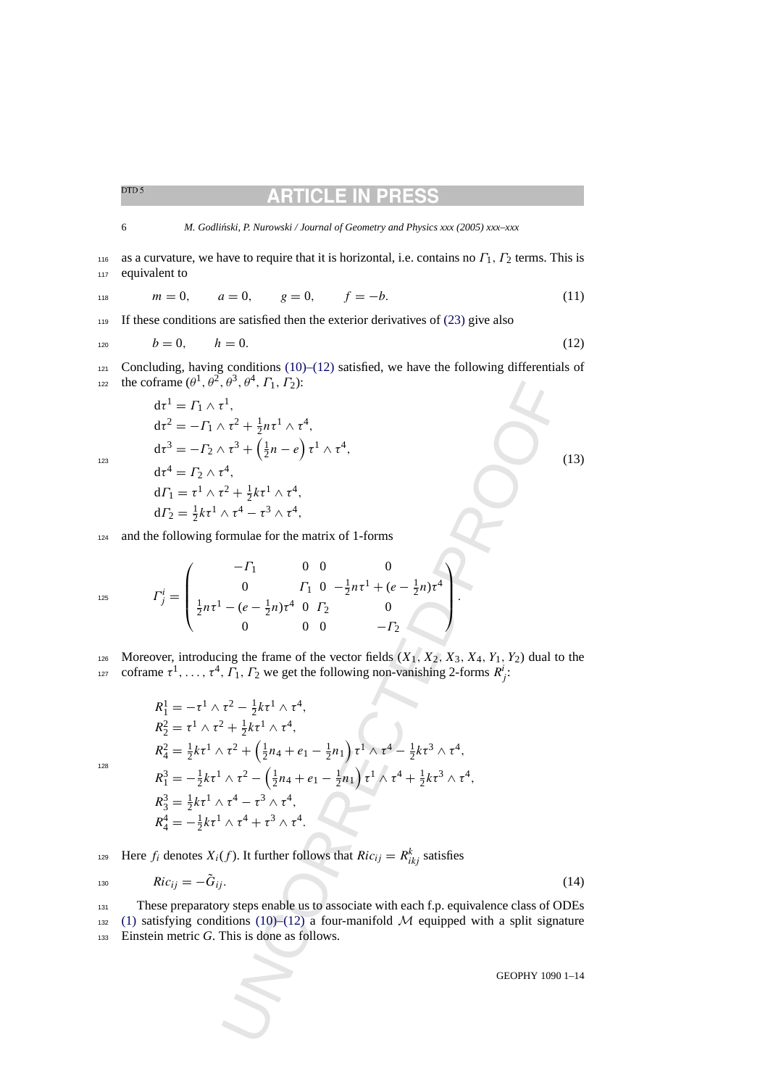<span id="page-5-0"></span>

6 *M. Godli ´nski, P. Nurowski / Journal of Geometry and Physics xxx (2005) xxx–xxx*

116 as a curvature, we have to require that it is horizontal, i.e. contains no  $\Gamma_1$ ,  $\Gamma_2$  terms. This is 117 equivalent to

$$
m = 0, \qquad a = 0, \qquad g = 0, \qquad f = -b. \tag{11}
$$

<sup>119</sup> If these conditions are satisfied then the exterior derivatives of [\(23\)](#page-12-0) give also

$$
h = 0, \qquad h = 0. \tag{12}
$$

121 Concluding, having conditions  $(10)$ – $(12)$  satisfied, we have the following differentials of the coframe  $(\theta^1, \theta^2, \theta^3, \theta^4, \Gamma_1, \Gamma_2)$ :

 $d\tau^1 = \Gamma_1 \wedge \tau^1$ ,  $d\tau^2 = -\Gamma_1 \wedge \tau^2 + \frac{1}{2}n\tau^1 \wedge \tau^4,$ d $\tau^3 = -\Gamma_2 \wedge \tau^3 + \left(\frac{1}{2}n - e\right)\tau^1 \wedge \tau^4,$  (13)  $d\tau^4 = \Gamma_2 \wedge \tau^4$ .  $d\Gamma_1 = \tau^1 \wedge \tau^2 + \frac{1}{2}$  $\frac{1}{2}k\tau^1 \wedge \tau^4$ ,

$$
d\Gamma_1 = \tau^1 \wedge \tau^2 + \frac{1}{2}k\tau^1 \wedge \tau^4,
$$
  
\n
$$
d\Gamma_2 = \frac{1}{2}k\tau^1 \wedge \tau^4 - \tau^3 \wedge \tau^4,
$$

<sup>124</sup> and the following formulae for the matrix of 1-forms

$$
I_{125}^{i} = \begin{pmatrix} -\Gamma_1 & 0 & 0 & 0 \\ 0 & \Gamma_1 & 0 & -\frac{1}{2}n\tau^1 + (e - \frac{1}{2}n)\tau^4 \\ \frac{1}{2}n\tau^1 - (e - \frac{1}{2}n)\tau^4 & 0 & \Gamma_2 & 0 \\ 0 & 0 & 0 & -\Gamma_2 & \end{pmatrix}.
$$

126 Moreover, introducing the frame of the vector fields  $(X_1, X_2, X_3, X_4, Y_1, Y_2)$  dual to the 127 coframe  $\tau^1, \ldots, \tau^4, \Gamma_1, \Gamma_2$  we get the following non-vanishing 2-forms  $R^i_j$ :

oframe 
$$
(\theta^1, \theta^2, \theta^3, \theta^4, \Gamma_1, \Gamma_2)
$$
:  
\n $dt^1 = \Gamma_1 \wedge \tau^1$ ,  
\n $dt^2 = -\Gamma_1 \wedge \tau^2 + \frac{1}{2}n\tau^1 \wedge \tau^4$ ,  
\n $dt^3 = -\Gamma_2 \wedge \tau^3 + (\frac{1}{2}n - e) \tau^1 \wedge \tau^4$ ,  
\n $dt^4 = \Gamma_2 \wedge \tau^4$ ,  
\n $d\Gamma_1 = \tau^1 \wedge \tau^2 + \frac{1}{2}k\tau^1 \wedge \tau^4$ ,  
\n $d\Gamma_2 = \frac{1}{2}k\tau^1 \wedge \tau^4 - \tau^3 \wedge \tau^4$ ,  
\nthe following formulae for the matrix of 1-forms  
\n $\Gamma_j^i = \begin{pmatrix} -\Gamma_1 & 0 & 0 & 0 \\ 0 & \Gamma_1 & 0 & -\frac{1}{2}n\tau^1 + (e - \frac{1}{2}n)\tau^4 \\ \frac{1}{2}n\tau^1 - (e - \frac{1}{2}n)\tau^4 & 0 & \Gamma_2 & 0 \\ 0 & 0 & 0 & -\Gamma_2 \end{pmatrix}$   
\neover, introducing the frame of the vector fields  $(X_1, X_2, X_3, X_4, Y_1, Y_2)$  dual to  
\n $m = \tau^1, ..., \tau^4, \Gamma_1, \Gamma_2$  we get the following non-vanishing 2-forms  $R_j^i$ ;  
\n $R_1^1 = -\tau^1 \wedge \tau^2 - \frac{1}{2}k\tau^1 \wedge \tau^4$ ,  
\n $R_2^2 = \tau^1 \wedge \tau^2 + \frac{1}{2}k\tau^1 \wedge \tau^4$ ,  
\n $R_3^2 = \frac{1}{2}k\tau^1 \wedge \tau^2 + (\frac{1}{2}n_4 + e_1 - \frac{1}{2}n_1)\tau^1 \wedge \tau^4 - \frac{1}{2}k\tau^3 \wedge \tau^4$ ,  
\n $R_3^3 = \frac{1}{2}k\tau^1 \wedge \tau^4 - \tau^3 \wedge \tau^4$ .  
\n $f_4^4 = -\frac$ 

128

Here  $f_i$  denotes  $X_i(f)$ . It further follows that  $Ric_{ij} = R_{ikj}^k$  satisfies

$$
Ric_{ij} = -\tilde{G}_{ij}.
$$
 (14)

<sup>131</sup> These preparatory steps enable us to associate with each f.p. equivalence class of ODEs 132 [\(1\)](#page-0-0) satisfying conditions (10)–(12) a four-manifold  $M$  equipped with a split signature <sup>133</sup> Einstein metric *G*. This is done as follows.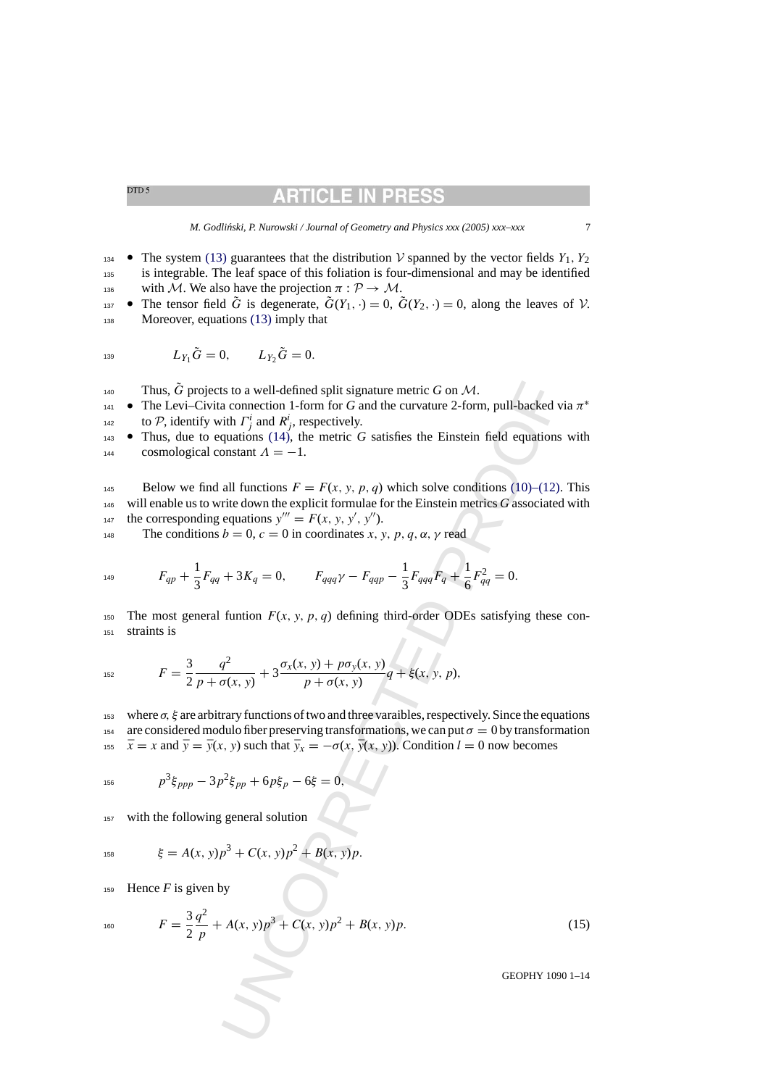# RTICLE IN PR

- <span id="page-6-0"></span>**•** The system [\(13\)](#page-5-0) guarantees that the distribution V spanned by the vector fields  $Y_1, Y_2$ <sup>135</sup> is integrable. The leaf space of this foliation is four-dimensional and may be identified 136 with M. We also have the projection  $\pi : \mathcal{P} \to \mathcal{M}$ .
- The tensor field  $\tilde{G}$  is degenerate,  $\tilde{G}(Y_1, \cdot) = 0$ ,  $\tilde{G}(Y_2, \cdot) = 0$ , along the leaves of  $\cal V$ . 138 Moreover, equations [\(13\)](#page-5-0) imply that

$$
L_{Y_1}\tilde{G} = 0, \qquad L_{Y_2}\tilde{G} = 0.
$$

Thus,  $\tilde{G}$  projects to a well-defined split signature metric  $G$  on  $\mathcal{M}$ .

- The Levi–Civita connection 1-form for G and the curvature 2-form, pull-backed via  $\pi^*$ to P, identify with  $\Gamma^i_j$  and  $R^i_j$ , respectively.
- <sup>143</sup> Thus, due to equations (14), the metric *G* satisfies the Einstein field equations with 144 cosmological constant  $\Lambda = -1$ .

ts to a well-defined split signature metric G on M.<br>
a connection 1-form for 6 and the curvature 2-form, pull-backed v<br>
dit  $\Gamma_j^i$  and  $R_j^i$ , respectively.<br>
quations (14), the metric G satisfies the Einstein field equat 145 Below we find all functions  $F = F(x, y, p, q)$  which solve conditions [\(10\)–\(12\).](#page-4-0) This <sup>146</sup> will enable us to write down the explicit formulae for the Einstein metrics *G* associated with the corresponding equations  $y''' = F(x, y, y', y'')$ .

148 The conditions  $b = 0$ ,  $c = 0$  in coordinates x, y, p, q,  $\alpha$ ,  $\gamma$  read

$$
F_{qp} + \frac{1}{3}F_{qq} + 3K_q = 0, \qquad F_{qqq}\gamma - F_{qqp} - \frac{1}{3}F_{qqq}F_q + \frac{1}{6}F_{qq}^2 = 0.
$$

150 The most general funtion  $F(x, y, p, q)$  defining third-order ODEs satisfying these con-<sup>151</sup> straints is

$$
F = \frac{3}{2} \frac{q^2}{p + \sigma(x, y)} + 3 \frac{\sigma_x(x, y) + p \sigma_y(x, y)}{p + \sigma(x, y)} q + \xi(x, y, p),
$$

153 where  $\sigma$ ,  $\xi$  are arbitrary functions of two and three varaibles, respectively. Since the equations 154 are considered modulo fiber preserving transformations, we can put  $\sigma = 0$  by transformation

155  $\bar{x} = x$  and  $\bar{y} = \bar{y}(x, y)$  such that  $\bar{y}_x = -\sigma(x, \bar{y}(x, y))$ . Condition  $l = 0$  now becomes

$$
p^3 \xi_{ppp} - 3p^2 \xi_{pp} + 6p \xi_p - 6\xi = 0,
$$

<sup>157</sup> with the following general solution

$$
58 \qquad \qquad \xi = A(x, y)p^3 + C(x, y)p^2 + B(x, y)p.
$$

159 Hence  $F$  is given by

$$
^{160}
$$

 $F = \frac{3}{2}$  $q^2$ <sup>160</sup>  $F = \frac{3}{2} \frac{q}{p} + A(x, y)p^3 + C(x, y)p^2 + B(x, y)p.$  (15)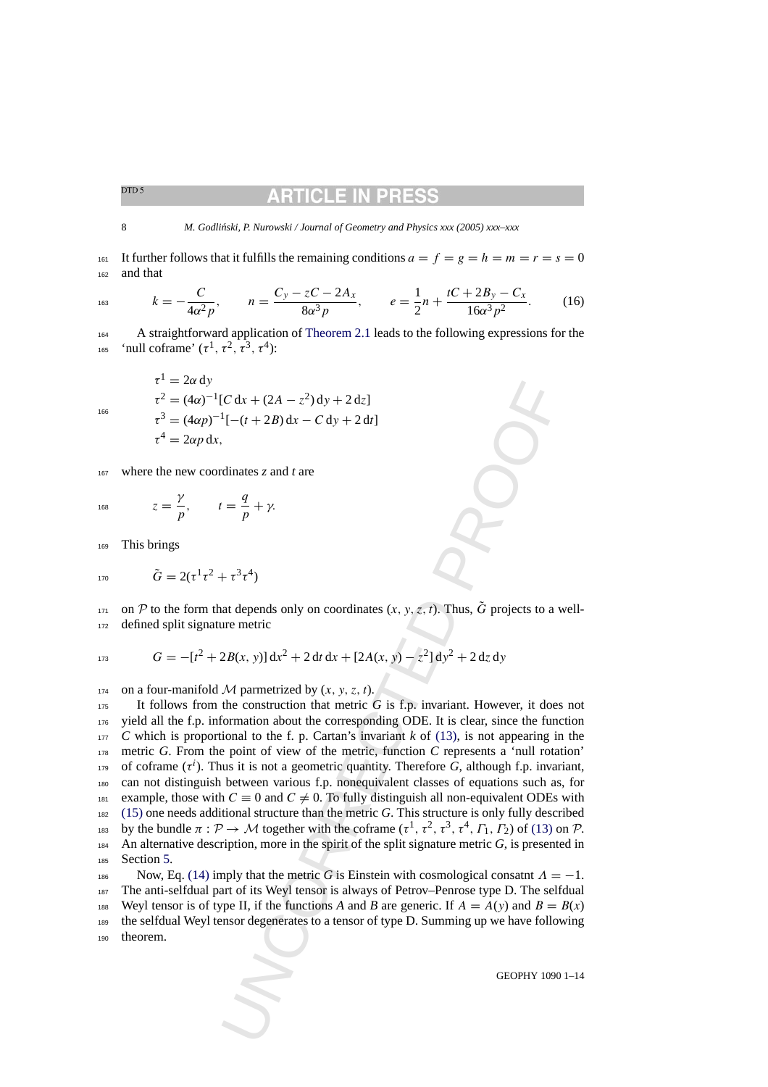# ARTICLE IN PRE

<span id="page-7-0"></span>8 *M. Godliński, P. Nurowski / Journal of Geometry and Physics xxx (2005) xxx–xxx* 

161 It further follows that it fulfills the remaining conditions  $a = f = g = h = m = r = s = 0$ <sup>162</sup> and that

$$
k = -\frac{C}{4\alpha^2 p}, \qquad n = \frac{C_y - zC - 2A_x}{8\alpha^3 p}, \qquad e = \frac{1}{2}n + \frac{tC + 2B_y - C_x}{16\alpha^3 p^2}.
$$
 (16)

<sup>164</sup> A straightforward application of [Theorem 2.1](#page-2-0) leads to the following expressions for the <sup>165</sup> 'null coframe'  $(\tau^1, \tau^2, \tau^3, \tau^4)$ :

$$
\tau^{1} = 2\alpha \, dy
$$
  
\n
$$
\tau^{2} = (4\alpha)^{-1} [C \, dx + (2A - z^{2}) \, dy + 2 \, dz]
$$
  
\n
$$
\tau^{3} = (4\alpha p)^{-1} [-(t + 2B) \, dx - C \, dy + 2 \, dt]
$$
  
\n
$$
\tau^{4} = 2\alpha p \, dx,
$$

<sup>167</sup> where the new coordinates *z* and *t* are

168  $z = \frac{\gamma}{p}, \qquad t = \frac{q}{p} + \gamma.$ 

<sup>169</sup> This brings

166

$$
170 \t\t \tilde{G} = 2(\tau^1 \tau^2 + \tau^3 \tau^4)
$$

 $\gamma$  on P to the form that depends only on coordinates  $(x, y, z, t)$ . Thus,  $\tilde{G}$  projects to a well-<sup>172</sup> defined split signature metric

$$
G = -[t2 + 2B(x, y)] dx2 + 2 dt dx + [2A(x, y) - z2] dy2 + 2 dz dy
$$

174 on a four-manifold M parmetrized by  $(x, y, z, t)$ .

IC dx +  $(2A - z^2) dy + 2 dz$ ]<br>
<sup>1</sup>[- $(t + 2B) dx - C dy + 2 dt$ ]<br>
<sup>1</sup>[- $(t + 2B) dx - C dy + 2 dt$ ]<br>
<br>
<br>
condinates z and *t* are<br>  $t = \frac{q}{p} + \gamma$ .<br>
<br>  $+ z^3 + 1$ <br>
and depends only on coordinates  $(x, y, z, t)$ . Thus,  $\tilde{G}$  projects to a vere metric<br> It follows from the construction that metric *G* is f.p. invariant. However, it does not yield all the f.p. information about the corresponding ODE. It is clear, since the function *C* which is proportional to the f. p. Cartan's invariant *k* of (13), is not appearing in the metric *G*. From the point of view of the metric, function *C* represents a 'null rotation' of coframe  $(\tau^i)$ . Thus it is not a geometric quantity. Therefore *G*, although f.p. invariant, can not distinguish between various f.p. nonequivalent classes of equations such as, for 181 example, those with  $C \equiv 0$  and  $C \neq 0$ . To fully distinguish all non-equivalent ODEs with [\(15\)](#page-6-0) one needs additional structure than the metric *G*. This structure is only fully described by the bundle  $\pi : \mathcal{P} \to \mathcal{M}$  together with the coframe  $(\tau^1, \tau^2, \tau^3, \tau^4, \Gamma_1, \Gamma_2)$  of (13) on  $\mathcal{P}$ . An alternative description, more in the spirit of the split signature metric *G*, is presented in Section [5.](#page-10-0)

Now, Eq. [\(14\)](#page-5-0) imply that the metric *G* is Einstein with cosmological consatnt  $\Lambda = -1$ . <sup>187</sup> The anti-selfdual part of its Weyl tensor is always of Petrov–Penrose type D. The selfdual 188 Weyl tensor is of type II, if the functions *A* and *B* are generic. If  $A = A(y)$  and  $B = B(x)$ <sup>189</sup> the selfdual Weyl tensor degenerates to a tensor of type D. Summing up we have following <sup>190</sup> theorem.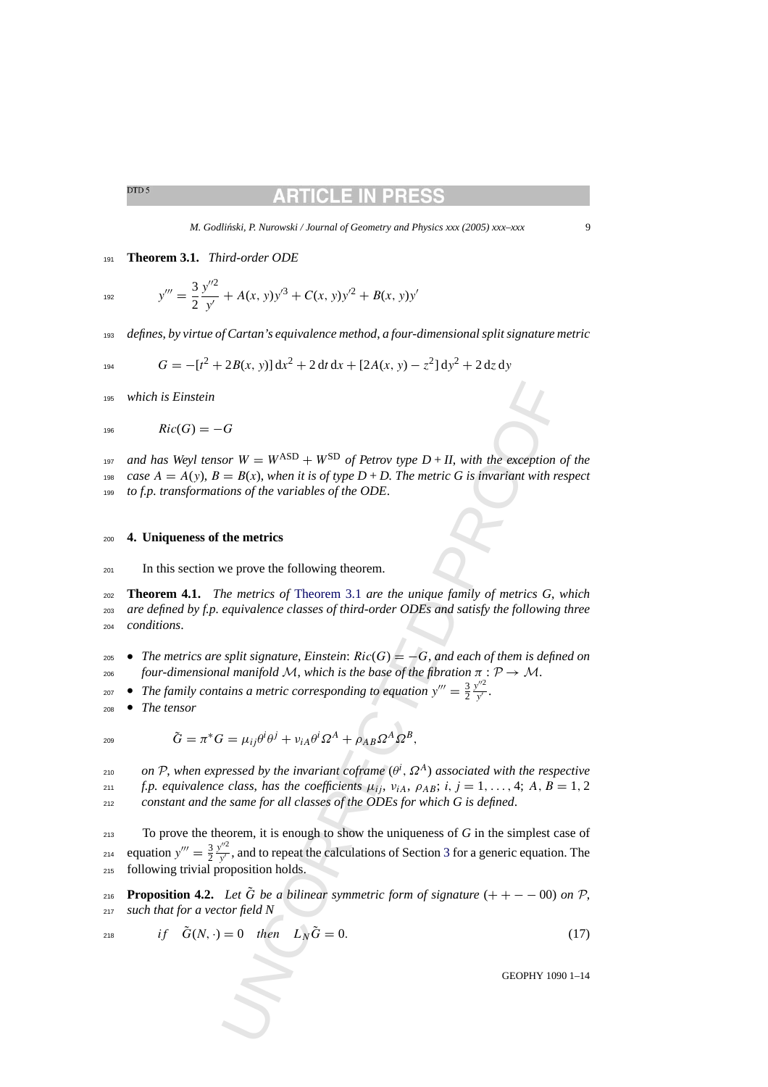<span id="page-8-0"></span><sup>191</sup> **Theorem 3.1.** *Third-order ODE*

$$
y''' = \frac{3}{2} \frac{y''^2}{y'} + A(x, y)y'^3 + C(x, y)y'^2 + B(x, y)y'
$$

<sup>193</sup> *defines*, *by virtue of Cartan's equivalence method*, *a four-dimensional split signature metric*

$$
G = -[t^2 + 2B(x, y)] dx^2 + 2 dt dx + [2A(x, y) - z^2] dy^2 + 2 dz dy
$$

<sup>195</sup> *which is Einstein*

$$
196 \hspace{1cm} Ric(G) = -G
$$

<sup>197</sup> and has Weyl tensor  $W = W^{ASD} + W^{SD}$  of Petrov type  $D + II$ , with the exception of the 198 *case*  $A = A(y)$ ,  $B = B(x)$ , *when it is of type*  $D + D$ . The metric G is invariant with respect <sup>199</sup> *to f.p. transformations of the variables of the ODE*.

#### <sup>200</sup> **4. Uniqueness of the metrics**

<sup>201</sup> In this section we prove the following theorem.

<sup>202</sup> **Theorem 4.1.** *The metrics of* Theorem 3.1 *are the unique family of metrics G*, *which* <sup>203</sup> *are defined by f.p. equivalence classes of third-order ODEs and satisfy the following three* <sup>204</sup> *conditions*.

- <sup>205</sup> *The metrics are split signature*, *Einstein*: Ric(G) = −G, *and each of them is defined on* <sup>206</sup> *four-dimensional manifold* M, *which is the base of the fibration* π : P → M.
- The family contains a metric corresponding to equation  $y''' = \frac{3}{2}$  $y^{\prime\prime 2}$ 207 • The family contains a metric corresponding to equation  $y''' = \frac{3}{2} \frac{y}{y'}$ .
- <sup>208</sup> *The tensor*

$$
\tilde{G} = \pi^* G = \mu_{ij} \theta^i \theta^j + \nu_{iA} \theta^i \Omega^A + \rho_{AB} \Omega^A \Omega^B,
$$

*on* P, when expressed by the invariant coframe  $(\theta^i, \Omega^A)$  associated with the respective *z*<sub>11</sub> *f.p. equivalence class, has the coefficients*  $\mu_{ij}$ ,  $\nu_{iA}$ ,  $\rho_{AB}$ ;  $i, j = 1, \ldots, 4$ ; A,  $B = 1, 2$ <sup>212</sup> *constant and the same for all classes of the ODEs for which G is defined*.

Cor  $W = W^{ASD} + W^{SD}$  of Petrov type  $D + H$ , with the exception<br>  $= B(x)$ , when it is of type  $D + D$ . The metric G is invariant with re<br>
ions of the variables of the ODE.<br> **the metrics**<br>
we prove the following theorem.<br>
He metri <sup>213</sup> To prove the theorem, it is enough to show the uniqueness of *G* in the simplest case of equation  $y''' = \frac{3}{2}$  $y^{\prime\prime 2}$  $_{2^{14}}$  equation  $y''' = \frac{3}{2} \frac{y}{y'}$ , and to repeat the calculations of Section 3 for a generic equation. The <sup>215</sup> following trivial proposition holds.

**Proposition 4.2.** Let  $\tilde{G}$  be a bilinear symmetric form of signature  $(+ + -0.00)$  on  $\mathcal{P}$ , <sup>217</sup> *such that for a vector field N*

$$
if \quad \tilde{G}(N, \cdot) = 0 \quad then \quad L_N \tilde{G} = 0. \tag{17}
$$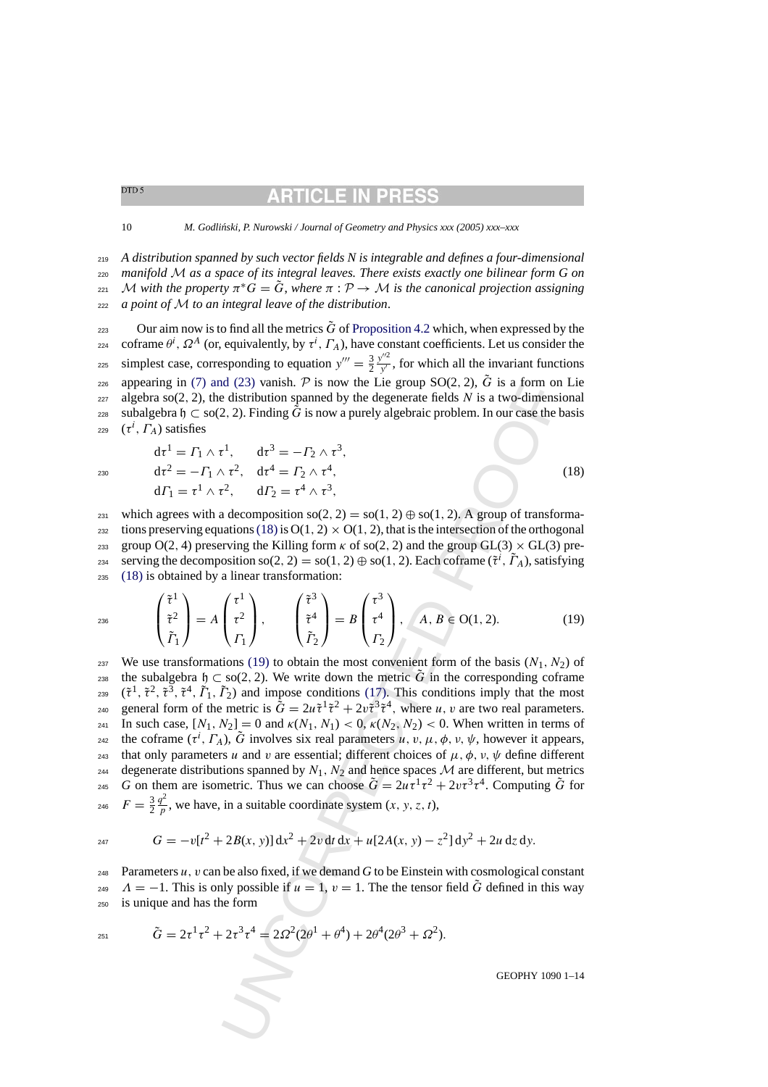*A distribution spanned by such vector fields N is integrable and defines a four-dimensional manifold* M *as a space of its integral leaves. There exists exactly one bilinear form G on*  $\mathcal{L}_{221}$  *M* with the property  $\pi$ <sup>\*</sup>*G* =  $\widetilde{G}$ , *where*  $\pi$  :  $\mathcal{P}$  → *M* is the canonical projection assigning *a point of* M *to an integral leave of the distribution*.

223 Our aim now is to find all the metrics  $\tilde{G}$  of [Proposition 4.2](#page-8-0) which, when expressed by the <sup>224</sup> coframe  $\theta^i$ ,  $\Omega^A$  (or, equivalently, by  $\tau^i$ ,  $\Gamma_A$ ), have constant coefficients. Let us consider the simplest case, corresponding to equation  $y''' = \frac{3}{2}$  $y^{\prime\prime 2}$ <sup>225</sup> simplest case, corresponding to equation  $y''' = \frac{3}{2} \frac{y}{y'}$ , for which all the invariant functions appearing in [\(7\) and \(23\)](#page-3-0) vanish. P is now the Lie group  $SO(2, 2)$ ,  $\tilde{G}$  is a form on Lie  $227$  algebra so(2, 2), the distribution spanned by the degenerate fields N is a two-dimensional subalgebra  $\mathfrak{h} \subset$  so(2, 2). Finding G is now a purely algebraic problem. In our case the basis 229 ( $\tau^i$ ,  $\Gamma_A$ ) satisfies

$$
d\tau^{1} = \Gamma_{1} \wedge \tau^{1}, \qquad d\tau^{3} = -\Gamma_{2} \wedge \tau^{3},
$$
  
\n
$$
d\tau^{2} = -\Gamma_{1} \wedge \tau^{2}, \qquad d\tau^{4} = \Gamma_{2} \wedge \tau^{4},
$$
  
\n
$$
d\Gamma_{1} = \tau^{1} \wedge \tau^{2}, \qquad d\Gamma_{2} = \tau^{4} \wedge \tau^{3},
$$
\n(18)

231 which agrees with a decomposition so(2, 2) = so(1, 2)  $\oplus$  so(1, 2). A group of transformazaz tions preserving equations (18) is  $O(1, 2) \times O(1, 2)$ , that is the intersection of the orthogonal 233 group O(2, 4) preserving the Killing form κ of so(2, 2) and the group GL(3)  $\times$  GL(3) preserving the decomposition so(2, 2) = so(1, 2)  $\oplus$  so(1, 2). Each coframe ( $\tilde{\tau}^i$ ,  $\tilde{\Gamma}_A$ ), satisfying <sup>235</sup> (18) is obtained by a linear transformation:

$$
\begin{pmatrix} \tilde{\tau}^1 \\ \tilde{\tau}^2 \\ \tilde{\Gamma}_1 \end{pmatrix} = A \begin{pmatrix} \tau^1 \\ \tau^2 \\ \Gamma_1 \end{pmatrix}, \qquad \begin{pmatrix} \tilde{\tau}^3 \\ \tilde{\tau}^4 \\ \tilde{\Gamma}_2 \end{pmatrix} = B \begin{pmatrix} \tau^3 \\ \tau^4 \\ \Gamma_2 \end{pmatrix}, \qquad A, B \in O(1, 2). \tag{19}
$$

(123) vanshi, P' is now the Lee group SO(2, 2), G' is a form on<br>
ed distribution spanned by the degenerate fields N is a two-dimensional<br>
2, 2). Finding  $\vec{G}$  is now a purely algebraic problem. In our case the t<br>  $\vec{r}$ 237 We use transformations (19) to obtain the most convenient form of the basis  $(N_1, N_2)$  of the subalgebra  $\mathfrak{h} \subset$  so(2, 2). We write down the metric  $\tilde{G}$  in the corresponding coframe <sup>239</sup>  $(\tilde{\tau}^1, \tilde{\tau}^2, \tilde{\tau}^3, \tilde{\tau}^4, \tilde{\Gamma}_1, \tilde{\Gamma}_2)$  and impose conditions (17). This conditions imply that the most general form of the metric is  $\tilde{G} = 2u\tilde{\tau}^1\tilde{\tau}^2 + 2v\tilde{\tau}^3\tilde{\tau}^4$ , where u, v are two real parameters. 241 In such case,  $[N_1, N_2] = 0$  and  $\kappa(N_1, N_1) < 0$ ,  $\kappa(N_2, N_2) < 0$ . When written in terms of <sup>242</sup> the coframe  $(\tau^i, \Gamma_A)$ ,  $\tilde{G}$  involves six real parameters u, v,  $\mu$ ,  $\phi$ , v,  $\psi$ , however it appears, 243 that only parameters u and v are essential; different choices of  $\mu$ ,  $\phi$ ,  $\nu$ ,  $\psi$  define different 244 degenerate distributions spanned by  $N_1$ ,  $N_2$  and hence spaces M are different, but metrics <sup>245</sup> *G* on them are isometric. Thus we can choose  $\tilde{G} = 2u\tau^1\tau^2 + 2v\tau^3\tau^4$ . Computing  $\tilde{G}$  for  $F = \frac{3}{2}$ <sup>246</sup>  $F = \frac{3}{2} \frac{q^2}{p}$ , we have, in a suitable coordinate system  $(x, y, z, t)$ ,

$$
G = -v[t^{2} + 2B(x, y)] dx^{2} + 2v dt dx + u[2A(x, y) - z^{2}] dy^{2} + 2u dz dy.
$$

248 Parameters  $u$ ,  $v$  can be also fixed, if we demand  $G$  to be Einstein with cosmological constant  $\Delta t = -1$ . This is only possible if  $u = 1$ ,  $v = 1$ . The the tensor field  $\tilde{G}$  defined in this way <sup>250</sup> is unique and has the form

$$
\tilde{G} = 2\tau^1\tau^2 + 2\tau^3\tau^4 = 2\Omega^2(2\theta^1 + \theta^4) + 2\theta^4(2\theta^3 + \Omega^2).
$$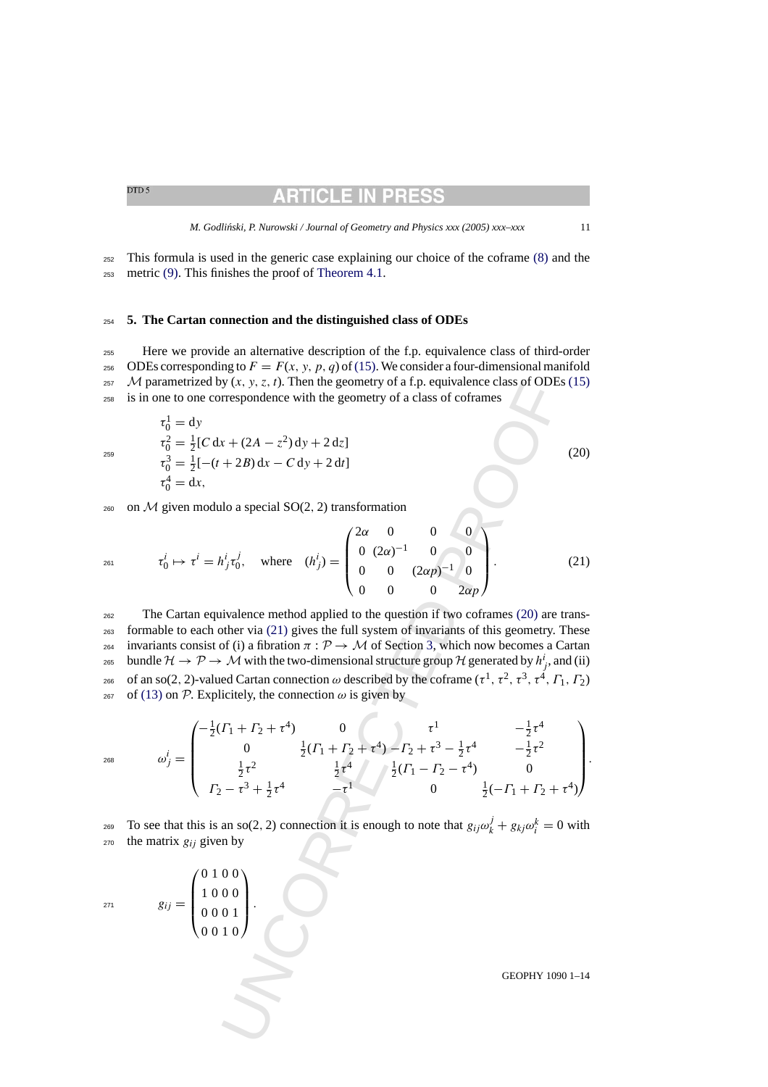### RTICLE IN PRI

*M. Godli ´nski, P. Nurowski / Journal of Geometry and Physics xxx (2005) xxx–xxx* 11

<span id="page-10-0"></span><sup>252</sup> This formula is used in the generic case explaining our choice of the coframe [\(8\)](#page-4-0) and the <sup>253</sup> metric [\(9\). T](#page-4-0)his finishes the proof of [Theorem 4.1.](#page-8-0)

#### <sup>254</sup> **5. The Cartan connection and the distinguished class of ODEs**

<sup>255</sup> Here we provide an alternative description of the f.p. equivalence class of third-order 256 ODEs corresponding to  $F = F(x, y, p, q)$  of [\(15\). W](#page-6-0)e consider a four-dimensional manifold <sup>257</sup> M parametrized by  $(x, y, z, t)$ . Then the geometry of a f.p. equivalence class of ODEs [\(15\)](#page-6-0) <sup>258</sup> is in one to one correspondence with the geometry of a class of coframes

$$
\tau_0^1 = dy
$$
\n
$$
\tau_0^2 = \frac{1}{2} [C dx + (2A - z^2) dy + 2 dz]
$$
\n
$$
\tau_0^3 = \frac{1}{2} [-(t + 2B) dx - C dy + 2 dt]
$$
\n
$$
\tau_0^4 = dx,
$$
\n(20)

260 on  $M$  given modulo a special  $SO(2, 2)$  transformation

 $\setminus$  $\mathbf{I}$  $\mathbf{I}$  $\mathbf{I}$ 

$$
\tau_0^i \mapsto \tau^i = h^i_j \tau_0^j, \quad \text{where} \quad (h^i_j) = \begin{pmatrix} 2\alpha & 0 & 0 & 0 \\ 0 & (2\alpha)^{-1} & 0 & 0 \\ 0 & 0 & (2\alpha p)^{-1} & 0 \\ 0 & 0 & 0 & 2\alpha p \end{pmatrix}.
$$
 (21)

y (x, y, z, t). Then the geometry of a t, p. equivalence class of ODE<br>
respondence with the geometry of a class of coframes<br>  $x + (2A - z^2) dy + 2 dz$ <br>  $+ 2B) dx - C dy + 2 dt$ <br>
llo a special SO(2, 2) transformation<br>  $h^i_j r_0^j$ , where  $(h$ <sup>262</sup> The Cartan equivalence method applied to the question if two coframes (20) are trans-<sup>263</sup> formable to each other via (21) gives the full system of invariants of this geometry. These <sup>264</sup> invariants consist of (i) a fibration  $\pi$ :  $\mathcal{P} \rightarrow \mathcal{M}$  of Section 3, which now becomes a Cartan 265 bundle  $\mathcal{H} \to \mathcal{P} \to \mathcal{M}$  with the two-dimensional structure group  $\mathcal{H}$  generated by  $h^i_j$ , and (ii) 266 of an so(2, 2)-valued Cartan connection ω described by the coframe (τ<sup>1</sup>, τ<sup>2</sup>, τ<sup>3</sup>, τ<sup>4</sup>, Γ<sub>1</sub>, Γ<sub>2</sub>)  $267$  of [\(13\)](#page-5-0) on P. Explicitely, the connection ω is given by

$$
\omega_j^i = \begin{pmatrix}\n-\frac{1}{2}(T_1 + T_2 + \tau^4) & 0 & \tau^1 & -\frac{1}{2}\tau^4 \\
0 & \frac{1}{2}(T_1 + T_2 + \tau^4) - T_2 + \tau^3 - \frac{1}{2}\tau^4 & -\frac{1}{2}\tau^2 \\
\frac{1}{2}\tau^2 & \frac{1}{2}\tau^4 & \frac{1}{2}(T_1 - T_2 - \tau^4) & 0 \\
T_2 - \tau^3 + \frac{1}{2}\tau^4 & -\tau^1 & 0 & \frac{1}{2}(-T_1 + T_2 + \tau^4)\n\end{pmatrix}.
$$

To see that this is an so(2, 2) connection it is enough to note that  $g_{ij}\omega_k^j + g_{kj}\omega_i^k = 0$  with  $270$  the matrix  $g_{ij}$  given by

$$
g_{ij} = \begin{pmatrix} 0 & 1 & 0 & 0 \\ 1 & 0 & 0 & 0 \\ 0 & 0 & 0 & 1 \\ 0 & 0 & 1 & 0 \end{pmatrix}.
$$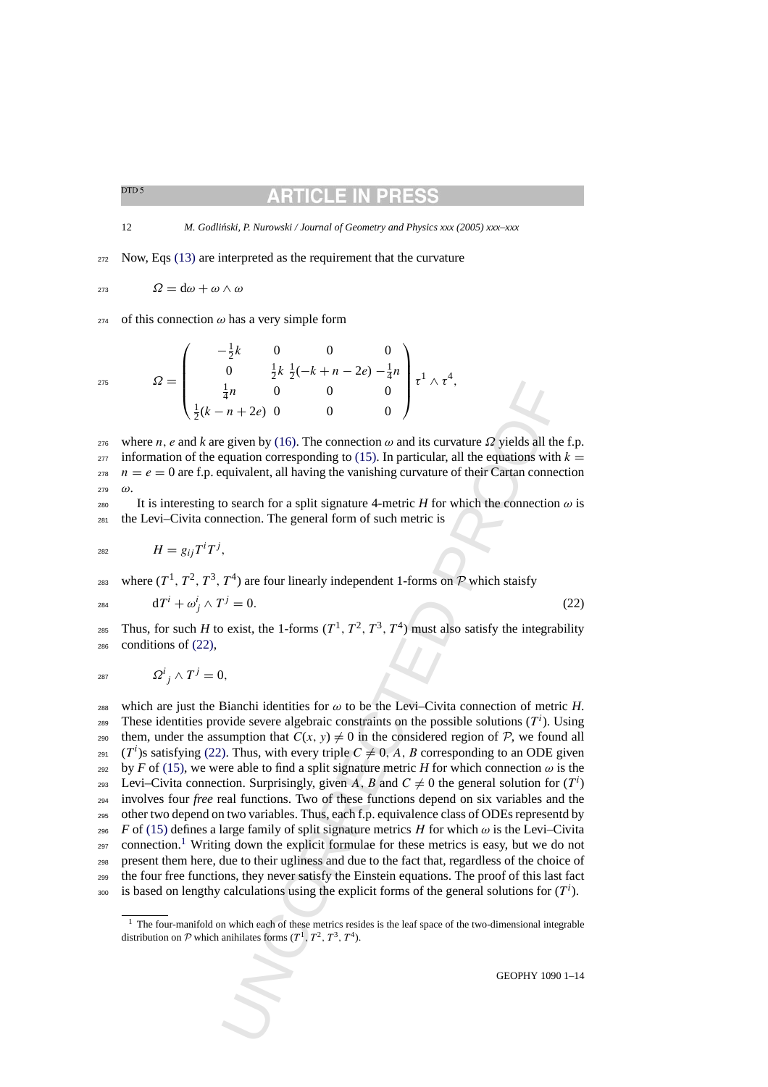## RTICLE IN PRI

12 *M. Godliński, P. Nurowski / Journal of Geometry and Physics xxx (2005) xxx–xxx* 

<sup>272</sup> Now, Eqs [\(13\)](#page-5-0) are interpreted as the requirement that the curvature

$$
273 \hspace{1cm} \Omega = d\omega + \omega \wedge \omega
$$

274 of this connection  $\omega$  has a very simple form

#### $\Omega =$  $\sqrt{ }$  $\parallel$  $-\frac{1}{2}k$  0 0 0 0  $\frac{1}{2}k \frac{1}{2}(-k+n-2e) - \frac{1}{4}n$  $\frac{1}{4}n$  0 0 0  $\frac{1}{2}(k-n+2e)$  0 0 0  $\setminus$  $\begin{array}{c} \hline \end{array}$ 275  $\Omega = \begin{bmatrix} 0 & \frac{1}{2} \kappa & \frac{1}{2} (-\kappa + \mu - 2\epsilon) - \frac{1}{4} \mu \\ 1 & 0 & 0 \\ 0 & 0 & 0 \end{bmatrix} \tau^1 \wedge \tau^4,$

<sup>276</sup> where *n*, *e* and *k* are given by (16). The connection ω and its curvature  $\Omega$  yields all the f.p.  $277$  information of the equation corresponding to (15). In particular, all the equations with  $k =$  $278$   $n = e = 0$  are f.p. equivalent, all having the vanishing curvature of their Cartan connection  $279$  (i)

280 It is interesting to search for a split signature 4-metric *H* for which the connection  $\omega$  is <sup>281</sup> the Levi–Civita connection. The general form of such metric is

$$
H = g_{ij}T^iT^j,
$$

283 where  $(T^1, T^2, T^3, T^4)$  are four linearly independent 1-forms on P which staisfy

$$
dT^i + \omega_j^i \wedge T^j = 0. \tag{22}
$$

<sup>285</sup> Thus, for such *H* to exist, the 1-forms  $(T^1, T^2, T^3, T^4)$  must also satisfy the integrability <sup>286</sup> conditions of (22),

$$
2^{87} \hspace{1.5cm} \Omega^{i}{}_{j} \wedge T^{j} = 0,
$$

UNCORRECTED PROOF 288 which are just the Bianchi identities for  $\omega$  to be the Levi-Civita connection of metric *H*. These identities provide severe algebraic constraints on the possible solutions  $(T<sup>i</sup>)$ . Using 290 them, under the assumption that  $C(x, y) \neq 0$  in the considered region of P, we found all <sup>291</sup> (T<sup>*i*</sup>)s satisfying (22). Thus, with every triple  $C \neq 0, A, B$  corresponding to an ODE given 292 by *F* of [\(15\), w](#page-6-0)e were able to find a split signature metric *H* for which connection  $\omega$  is the Levi–Civita connection. Surprisingly, given A, B and  $C \neq 0$  the general solution for  $(T^i)$ <sup>294</sup> involves four *free* real functions. Two of these functions depend on six variables and the <sup>295</sup> other two depend on two variables. Thus, each f.p. equivalence class of ODEs representd by 296 *F* of [\(15\)](#page-6-0) defines a large family of split signature metrics H for which  $\omega$  is the Levi–Civita  $_{297}$  connection.<sup>1</sup> Writing down the explicit formulae for these metrics is easy, but we do not <sup>298</sup> present them here, due to their ugliness and due to the fact that, regardless of the choice of <sup>299</sup> the four free functions, they never satisfy the Einstein equations. The proof of this last fact  $\delta$  is based on lengthy calculations using the explicit forms of the general solutions for  $(T^i)$ .

 $<sup>1</sup>$  The four-manifold on which each of these metrics resides is the leaf space of the two-dimensional integrable</sup> distribution on  $P$  which anihilates forms  $(T^1, T^2, T^3, T^4)$ .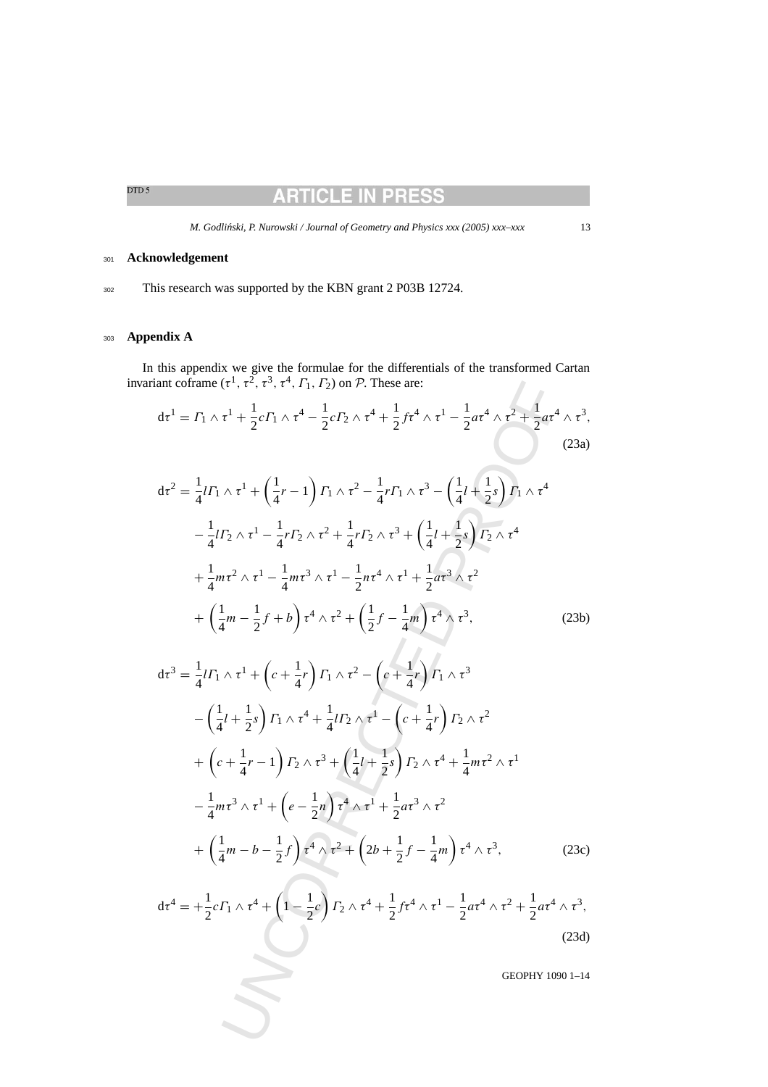### **ARTICLE IN PRESS**

*M. Godliński, P. Nurowski / Journal of Geometry and Physics xxx (2005) xxx–xxx* 13

### <span id="page-12-0"></span><sup>301</sup> **Acknowledgement**

302 This research was supported by the KBN grant 2 P03B 12724.

### <sup>303</sup> **Appendix A**

In this appendix we give the formulae for the differentials of the transformed Cartan invariant coframe  $(\tau^1, \tau^2, \tau^3, \tau^4, \Gamma_1, \Gamma_2)$  on  $\mathcal{P}$ . These are:

$$
d\tau^{1} = \Gamma_{1} \wedge \tau^{1} + \frac{1}{2}c\Gamma_{1} \wedge \tau^{4} - \frac{1}{2}c\Gamma_{2} \wedge \tau^{4} + \frac{1}{2}f\tau^{4} \wedge \tau^{1} - \frac{1}{2}a\tau^{4} \wedge \tau^{2} + \frac{1}{2}a\tau^{4} \wedge \tau^{3},
$$
\n(23a)

$$
d\tau^{2} = \frac{1}{4}l\Gamma_{1} \wedge \tau^{1} + \left(\frac{1}{4}r - 1\right)\Gamma_{1} \wedge \tau^{2} - \frac{1}{4}r\Gamma_{1} \wedge \tau^{3} - \left(\frac{1}{4}l + \frac{1}{2}s\right)\Gamma_{1} \wedge \tau^{4}
$$

$$
- \frac{1}{4}l\Gamma_{2} \wedge \tau^{1} - \frac{1}{4}r\Gamma_{2} \wedge \tau^{2} + \frac{1}{4}r\Gamma_{2} \wedge \tau^{3} + \left(\frac{1}{4}l + \frac{1}{2}s\right)\Gamma_{2} \wedge \tau^{4}
$$

$$
+ \frac{1}{4}m\tau^{2} \wedge \tau^{1} - \frac{1}{4}m\tau^{3} \wedge \tau^{1} - \frac{1}{2}n\tau^{4} \wedge \tau^{1} + \frac{1}{2}a\tau^{3} \wedge \tau^{2}
$$

$$
+ \left(\frac{1}{4}m - \frac{1}{2}f + b\right)\tau^{4} \wedge \tau^{2} + \left(\frac{1}{2}f - \frac{1}{4}m\right)\tau^{4} \wedge \tau^{3}, \tag{23b}
$$

ant coframe 
$$
(\tau^1, \tau^2, \tau^3, \tau^4, \Gamma_1, \Gamma_2)
$$
 on *P*. These are:  
\n
$$
d\tau^1 = \Gamma_1 \wedge \tau^1 + \frac{1}{2}c\Gamma_1 \wedge \tau^4 - \frac{1}{2}c\Gamma_2 \wedge \tau^4 + \frac{1}{2}f\tau^4 \wedge \tau^1 - \frac{1}{2}a\tau^4 \wedge \tau^2 + \frac{1}{2}a\tau^4 \wedge \tau^3,
$$
\n(23a)  
\n
$$
d\tau^2 = \frac{1}{4}l\Gamma_1 \wedge \tau^1 + \left(\frac{1}{4}r - 1\right)\Gamma_1 \wedge \tau^2 - \frac{1}{4}r\Gamma_1 \wedge \tau^3 - \left(\frac{1}{4}l + \frac{1}{2}s\right)\Gamma_1 \wedge \tau^4
$$
\n
$$
- \frac{1}{4}l\Gamma_2 \wedge \tau^1 - \frac{1}{4}r\Gamma_2 \wedge \tau^2 + \frac{1}{4}r\Gamma_2 \wedge \tau^3 + \left(\frac{1}{4}l + \frac{1}{2}s\right)\Gamma_2 \wedge \tau^4
$$
\n
$$
+ \frac{1}{4}m\tau^2 \wedge \tau^1 - \frac{1}{4}m\tau^3 \wedge \tau^1 - \frac{1}{2}n\tau^4 \wedge \tau^1 + \frac{1}{2}a\tau^3 \wedge \tau^2
$$
\n
$$
+ \left(\frac{1}{4}m - \frac{1}{2}f + b\right)\tau^4 \wedge \tau^2 + \left(\frac{1}{2}f - \frac{1}{4}m\right)\tau^4 \wedge \tau^3,
$$
\n(23b)  
\n
$$
d\tau^3 = \frac{1}{4}l\Gamma_1 \wedge \tau^1 + \left(c + \frac{1}{4}r\right)\Gamma_1 \wedge \tau^2 - \left(c + \frac{1}{4}r\right)\Gamma_1 \wedge \tau^3
$$
\n
$$
- \left(\frac{1}{4}l + \frac{1}{2}s\right)\Gamma_1 \wedge \tau^4 + \frac{1}{4}l\Gamma_2 \wedge \tau^1 - \left(c + \frac{1}{4}r\right)\Gamma_2 \wedge \tau^2
$$
\n
$$
+ \left(c +
$$

$$
d\tau^4 = +\frac{1}{2}c\Gamma_1 \wedge \tau^4 + \left(1 - \frac{1}{2}c\right)\Gamma_2 \wedge \tau^4 + \frac{1}{2}f\tau^4 \wedge \tau^1 - \frac{1}{2}a\tau^4 \wedge \tau^2 + \frac{1}{2}a\tau^4 \wedge \tau^3,
$$
\n(23d)